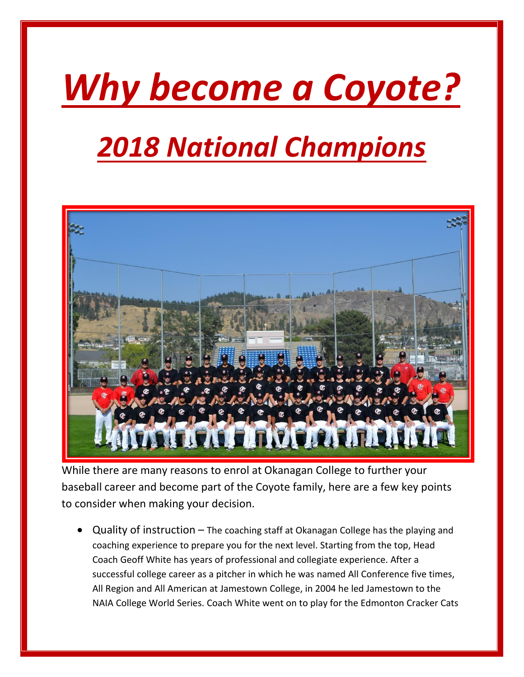## *Why become a Coyote?*

## *2018 National Champions*



While there are many reasons to enrol at Okanagan College to further your baseball career and become part of the Coyote family, here are a few key points to consider when making your decision.

• Quality of instruction – The coaching staff at Okanagan College has the playing and coaching experience to prepare you for the next level. Starting from the top, Head Coach Geoff White has years of professional and collegiate experience. After a successful college career as a pitcher in which he was named All Conference five times, All Region and All American at Jamestown College, in 2004 he led Jamestown to the NAIA College World Series. Coach White went on to play for the Edmonton Cracker Cats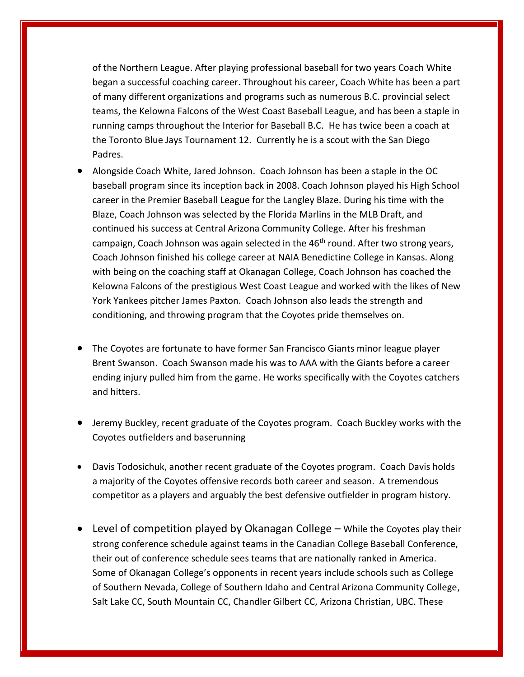of the Northern League. After playing professional baseball for two years Coach White began a successful coaching career. Throughout his career, Coach White has been a part of many different organizations and programs such as numerous B.C. provincial select teams, the Kelowna Falcons of the West Coast Baseball League, and has been a staple in running camps throughout the Interior for Baseball B.C. He has twice been a coach at the Toronto Blue Jays Tournament 12. Currently he is a scout with the San Diego Padres.

- Alongside Coach White, Jared Johnson. Coach Johnson has been a staple in the OC baseball program since its inception back in 2008. Coach Johnson played his High School career in the Premier Baseball League for the Langley Blaze. During his time with the Blaze, Coach Johnson was selected by the Florida Marlins in the MLB Draft, and continued his success at Central Arizona Community College. After his freshman campaign, Coach Johnson was again selected in the  $46<sup>th</sup>$  round. After two strong years, Coach Johnson finished his college career at NAIA Benedictine College in Kansas. Along with being on the coaching staff at Okanagan College, Coach Johnson has coached the Kelowna Falcons of the prestigious West Coast League and worked with the likes of New York Yankees pitcher James Paxton. Coach Johnson also leads the strength and conditioning, and throwing program that the Coyotes pride themselves on.
- The Coyotes are fortunate to have former San Francisco Giants minor league player Brent Swanson. Coach Swanson made his was to AAA with the Giants before a career ending injury pulled him from the game. He works specifically with the Coyotes catchers and hitters.
- Jeremy Buckley, recent graduate of the Coyotes program. Coach Buckley works with the Coyotes outfielders and baserunning
- Davis Todosichuk, another recent graduate of the Coyotes program. Coach Davis holds a majority of the Coyotes offensive records both career and season. A tremendous competitor as a players and arguably the best defensive outfielder in program history.
- Level of competition played by Okanagan College While the Coyotes play their strong conference schedule against teams in the Canadian College Baseball Conference, their out of conference schedule sees teams that are nationally ranked in America. Some of Okanagan College's opponents in recent years include schools such as College of Southern Nevada, College of Southern Idaho and Central Arizona Community College, Salt Lake CC, South Mountain CC, Chandler Gilbert CC, Arizona Christian, UBC. These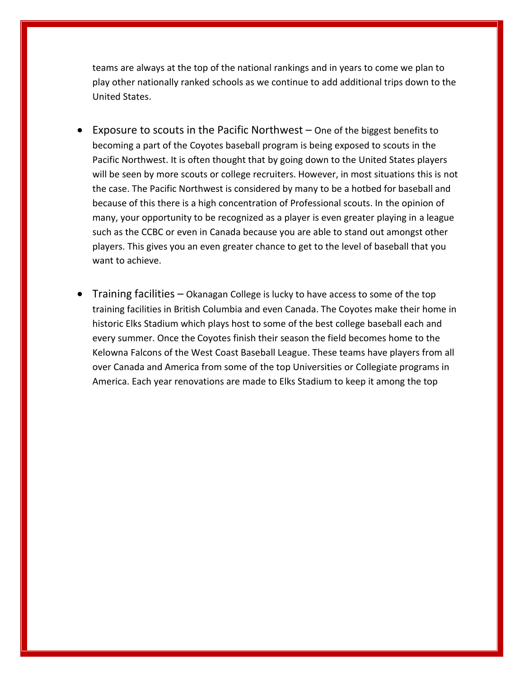teams are always at the top of the national rankings and in years to come we plan to play other nationally ranked schools as we continue to add additional trips down to the United States.

- Exposure to scouts in the Pacific Northwest One of the biggest benefits to becoming a part of the Coyotes baseball program is being exposed to scouts in the Pacific Northwest. It is often thought that by going down to the United States players will be seen by more scouts or college recruiters. However, in most situations this is not the case. The Pacific Northwest is considered by many to be a hotbed for baseball and because of this there is a high concentration of Professional scouts. In the opinion of many, your opportunity to be recognized as a player is even greater playing in a league such as the CCBC or even in Canada because you are able to stand out amongst other players. This gives you an even greater chance to get to the level of baseball that you want to achieve.
- **Training facilities Okanagan College is lucky to have access to some of the top** training facilities in British Columbia and even Canada. The Coyotes make their home in historic Elks Stadium which plays host to some of the best college baseball each and every summer. Once the Coyotes finish their season the field becomes home to the Kelowna Falcons of the West Coast Baseball League. These teams have players from all over Canada and America from some of the top Universities or Collegiate programs in America. Each year renovations are made to Elks Stadium to keep it among the top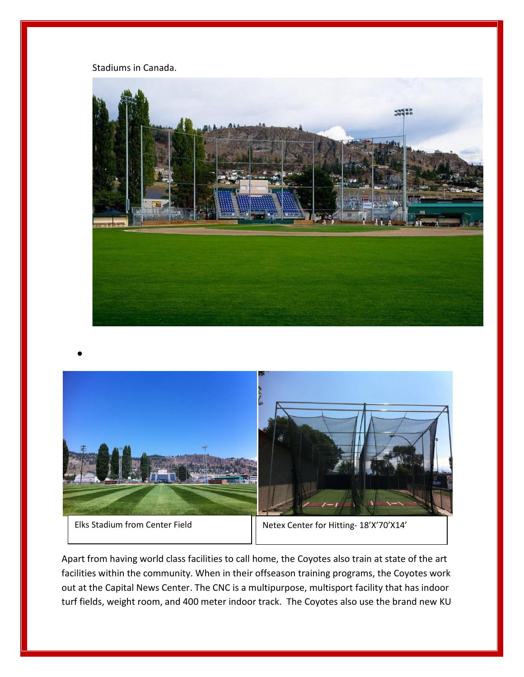Stadiums in Canada.





•

Apart from having world class facilities to call home, the Coyotes also train at state of the art facilities within the community. When in their offseason training programs, the Coyotes work out at the Capital News Center. The CNC is a multipurpose, multisport facility that has indoor turf fields, weight room, and 400 meter indoor track. The Coyotes also use the brand new KU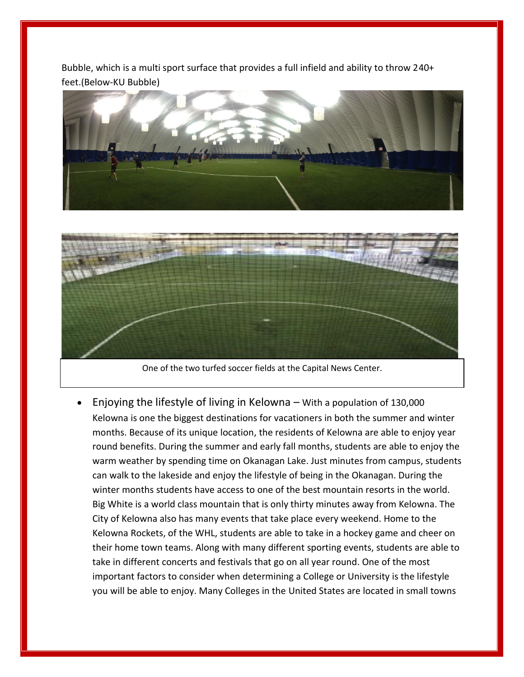Bubble, which is a multi sport surface that provides a full infield and ability to throw 240+ feet.(Below-KU Bubble)





One of the two turfed soccer fields at the Capital News Center.

• Enjoying the lifestyle of living in Kelowna – With a population of 130,000 Kelowna is one the biggest destinations for vacationers in both the summer and winter months. Because of its unique location, the residents of Kelowna are able to enjoy year round benefits. During the summer and early fall months, students are able to enjoy the warm weather by spending time on Okanagan Lake. Just minutes from campus, students can walk to the lakeside and enjoy the lifestyle of being in the Okanagan. During the winter months students have access to one of the best mountain resorts in the world. Big White is a world class mountain that is only thirty minutes away from Kelowna. The City of Kelowna also has many events that take place every weekend. Home to the Kelowna Rockets, of the WHL, students are able to take in a hockey game and cheer on their home town teams. Along with many different sporting events, students are able to take in different concerts and festivals that go on all year round. One of the most important factors to consider when determining a College or University is the lifestyle you will be able to enjoy. Many Colleges in the United States are located in small towns